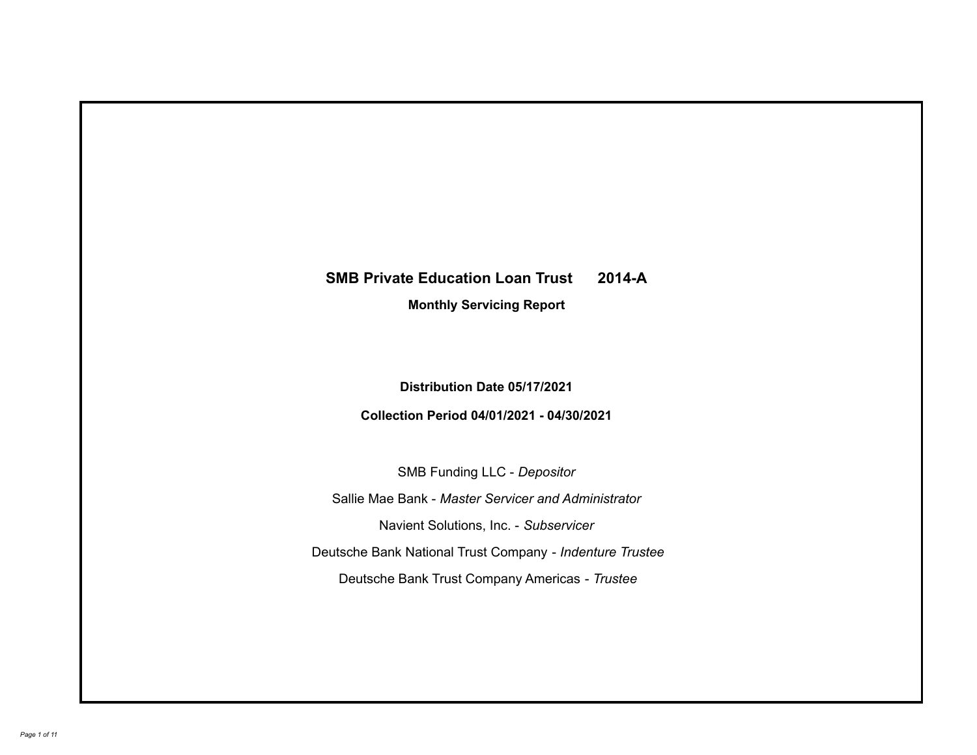## **SMB Private Education Loan Trust 2014-A**

**Monthly Servicing Report**

**Distribution Date 05/17/2021**

**Collection Period 04/01/2021 - 04/30/2021**

SMB Funding LLC - *Depositor*

Sallie Mae Bank - *Master Servicer and Administrator*

Navient Solutions, Inc. - *Subservicer*

Deutsche Bank National Trust Company - *Indenture Trustee*

Deutsche Bank Trust Company Americas - *Trustee*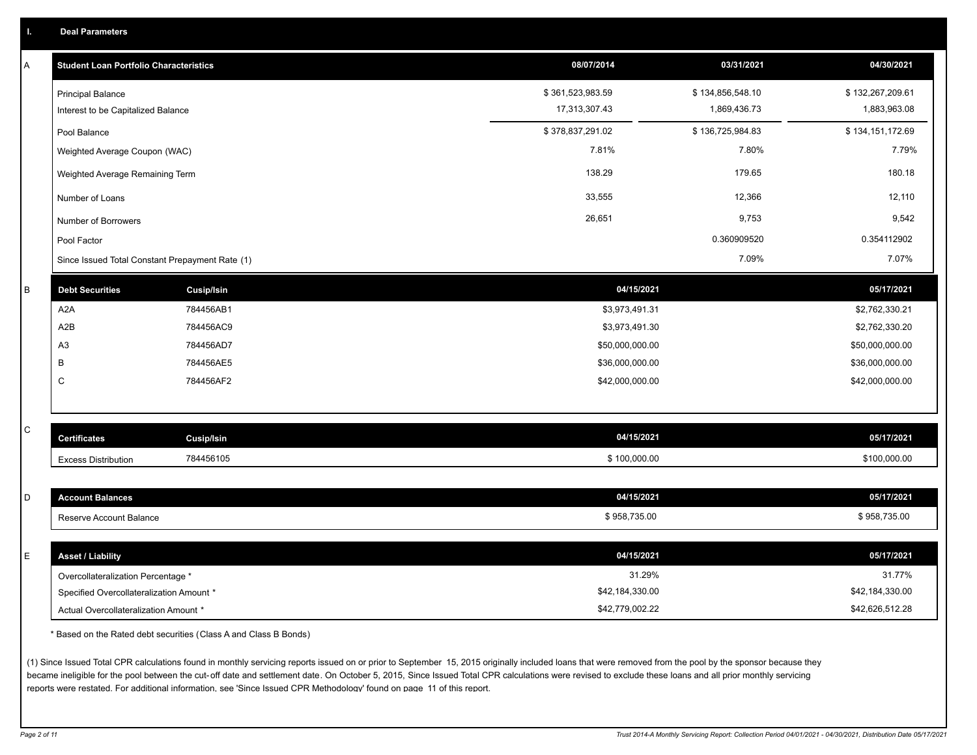| A            | <b>Student Loan Portfolio Characteristics</b>   |                   | 08/07/2014       | 03/31/2021       | 04/30/2021       |
|--------------|-------------------------------------------------|-------------------|------------------|------------------|------------------|
|              | <b>Principal Balance</b>                        |                   | \$361,523,983.59 | \$134,856,548.10 | \$132,267,209.61 |
|              | Interest to be Capitalized Balance              |                   | 17,313,307.43    | 1,869,436.73     | 1,883,963.08     |
|              | Pool Balance                                    |                   | \$378,837,291.02 | \$136,725,984.83 | \$134,151,172.69 |
|              | Weighted Average Coupon (WAC)                   |                   | 7.81%            | 7.80%            | 7.79%            |
|              | Weighted Average Remaining Term                 |                   | 138.29           | 179.65           | 180.18           |
|              | Number of Loans                                 |                   | 33,555           | 12,366           | 12,110           |
|              | Number of Borrowers                             |                   | 26,651           | 9,753            | 9,542            |
|              | Pool Factor                                     |                   |                  | 0.360909520      | 0.354112902      |
|              | Since Issued Total Constant Prepayment Rate (1) |                   |                  | 7.09%            | 7.07%            |
| B            | <b>Debt Securities</b>                          | <b>Cusip/Isin</b> | 04/15/2021       |                  | 05/17/2021       |
|              | A <sub>2</sub> A                                | 784456AB1         | \$3,973,491.31   |                  | \$2,762,330.21   |
|              | A2B                                             | 784456AC9         | \$3,973,491.30   |                  | \$2,762,330.20   |
|              | A <sub>3</sub>                                  | 784456AD7         | \$50,000,000.00  |                  | \$50,000,000.00  |
|              | B                                               | 784456AE5         | \$36,000,000.00  |                  | \$36,000,000.00  |
|              | $\mathsf{C}$                                    | 784456AF2         | \$42,000,000.00  |                  | \$42,000,000.00  |
|              |                                                 |                   |                  |                  |                  |
| $\mathtt{C}$ |                                                 |                   |                  |                  |                  |
|              | <b>Certificates</b>                             | Cusip/Isin        | 04/15/2021       |                  | 05/17/2021       |
|              | <b>Excess Distribution</b>                      | 784456105         | \$100,000.00     |                  | \$100,000.00     |
|              |                                                 |                   |                  |                  |                  |
| D            | <b>Account Balances</b>                         |                   | 04/15/2021       |                  | 05/17/2021       |
|              | Reserve Account Balance                         |                   | \$958,735.00     |                  | \$958,735.00     |
|              |                                                 |                   |                  |                  |                  |
| E            | <b>Asset / Liability</b>                        |                   | 04/15/2021       |                  | 05/17/2021       |
|              | Overcollateralization Percentage *              |                   | 31.29%           |                  | 31.77%           |
|              | Specified Overcollateralization Amount *        |                   | \$42,184,330.00  |                  | \$42,184,330.00  |
|              | Actual Overcollateralization Amount *           |                   | \$42,779,002.22  |                  | \$42,626,512.28  |

\* Based on the Rated debt securities (Class A and Class B Bonds)

(1) Since Issued Total CPR calculations found in monthly servicing reports issued on or prior to September 15, 2015 originally included loans that were removed from the pool by the sponsor because they became ineligible for the pool between the cut-off date and settlement date. On October 5, 2015, Since Issued Total CPR calculations were revised to exclude these loans and all prior monthly servicing reports were restated. For additional information, see 'Since Issued CPR Methodology' found on page 11 of this report.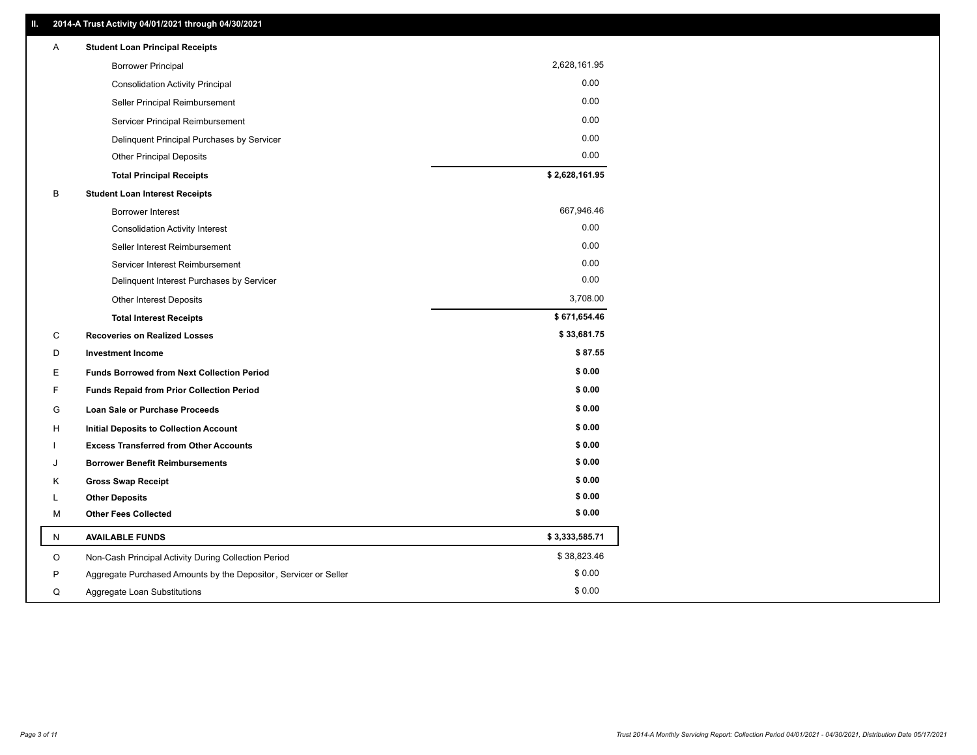| 2,628,161.95<br><b>Borrower Principal</b><br>0.00<br><b>Consolidation Activity Principal</b><br>0.00<br>Seller Principal Reimbursement<br>0.00<br>Servicer Principal Reimbursement<br>0.00<br>Delinquent Principal Purchases by Servicer<br>0.00<br><b>Other Principal Deposits</b><br>\$2,628,161.95<br><b>Total Principal Receipts</b><br>B<br><b>Student Loan Interest Receipts</b><br>667,946.46<br><b>Borrower Interest</b><br>0.00<br><b>Consolidation Activity Interest</b><br>0.00<br>Seller Interest Reimbursement<br>0.00<br>Servicer Interest Reimbursement |  |
|------------------------------------------------------------------------------------------------------------------------------------------------------------------------------------------------------------------------------------------------------------------------------------------------------------------------------------------------------------------------------------------------------------------------------------------------------------------------------------------------------------------------------------------------------------------------|--|
|                                                                                                                                                                                                                                                                                                                                                                                                                                                                                                                                                                        |  |
|                                                                                                                                                                                                                                                                                                                                                                                                                                                                                                                                                                        |  |
|                                                                                                                                                                                                                                                                                                                                                                                                                                                                                                                                                                        |  |
|                                                                                                                                                                                                                                                                                                                                                                                                                                                                                                                                                                        |  |
|                                                                                                                                                                                                                                                                                                                                                                                                                                                                                                                                                                        |  |
|                                                                                                                                                                                                                                                                                                                                                                                                                                                                                                                                                                        |  |
|                                                                                                                                                                                                                                                                                                                                                                                                                                                                                                                                                                        |  |
|                                                                                                                                                                                                                                                                                                                                                                                                                                                                                                                                                                        |  |
|                                                                                                                                                                                                                                                                                                                                                                                                                                                                                                                                                                        |  |
|                                                                                                                                                                                                                                                                                                                                                                                                                                                                                                                                                                        |  |
|                                                                                                                                                                                                                                                                                                                                                                                                                                                                                                                                                                        |  |
|                                                                                                                                                                                                                                                                                                                                                                                                                                                                                                                                                                        |  |
| 0.00<br>Delinquent Interest Purchases by Servicer                                                                                                                                                                                                                                                                                                                                                                                                                                                                                                                      |  |
| 3,708.00<br><b>Other Interest Deposits</b>                                                                                                                                                                                                                                                                                                                                                                                                                                                                                                                             |  |
| \$671,654.46<br><b>Total Interest Receipts</b>                                                                                                                                                                                                                                                                                                                                                                                                                                                                                                                         |  |
| \$33,681.75<br>С<br><b>Recoveries on Realized Losses</b>                                                                                                                                                                                                                                                                                                                                                                                                                                                                                                               |  |
| \$87.55<br>D<br><b>Investment Income</b>                                                                                                                                                                                                                                                                                                                                                                                                                                                                                                                               |  |
| \$0.00<br>Е<br><b>Funds Borrowed from Next Collection Period</b>                                                                                                                                                                                                                                                                                                                                                                                                                                                                                                       |  |
| \$0.00<br>F<br><b>Funds Repaid from Prior Collection Period</b>                                                                                                                                                                                                                                                                                                                                                                                                                                                                                                        |  |
| \$0.00<br>G<br>Loan Sale or Purchase Proceeds                                                                                                                                                                                                                                                                                                                                                                                                                                                                                                                          |  |
| \$0.00<br><b>Initial Deposits to Collection Account</b><br>н                                                                                                                                                                                                                                                                                                                                                                                                                                                                                                           |  |
| \$0.00<br><b>Excess Transferred from Other Accounts</b>                                                                                                                                                                                                                                                                                                                                                                                                                                                                                                                |  |
| \$0.00<br><b>Borrower Benefit Reimbursements</b><br>J                                                                                                                                                                                                                                                                                                                                                                                                                                                                                                                  |  |
| \$0.00<br>Κ<br><b>Gross Swap Receipt</b>                                                                                                                                                                                                                                                                                                                                                                                                                                                                                                                               |  |
| \$0.00<br><b>Other Deposits</b><br>L                                                                                                                                                                                                                                                                                                                                                                                                                                                                                                                                   |  |
| \$0.00<br><b>Other Fees Collected</b><br>М                                                                                                                                                                                                                                                                                                                                                                                                                                                                                                                             |  |
| \$3,333,585.71<br><b>AVAILABLE FUNDS</b><br>N                                                                                                                                                                                                                                                                                                                                                                                                                                                                                                                          |  |
| \$38,823.46<br>O<br>Non-Cash Principal Activity During Collection Period                                                                                                                                                                                                                                                                                                                                                                                                                                                                                               |  |
| \$0.00<br>P<br>Aggregate Purchased Amounts by the Depositor, Servicer or Seller                                                                                                                                                                                                                                                                                                                                                                                                                                                                                        |  |
| \$0.00<br>Q<br>Aggregate Loan Substitutions                                                                                                                                                                                                                                                                                                                                                                                                                                                                                                                            |  |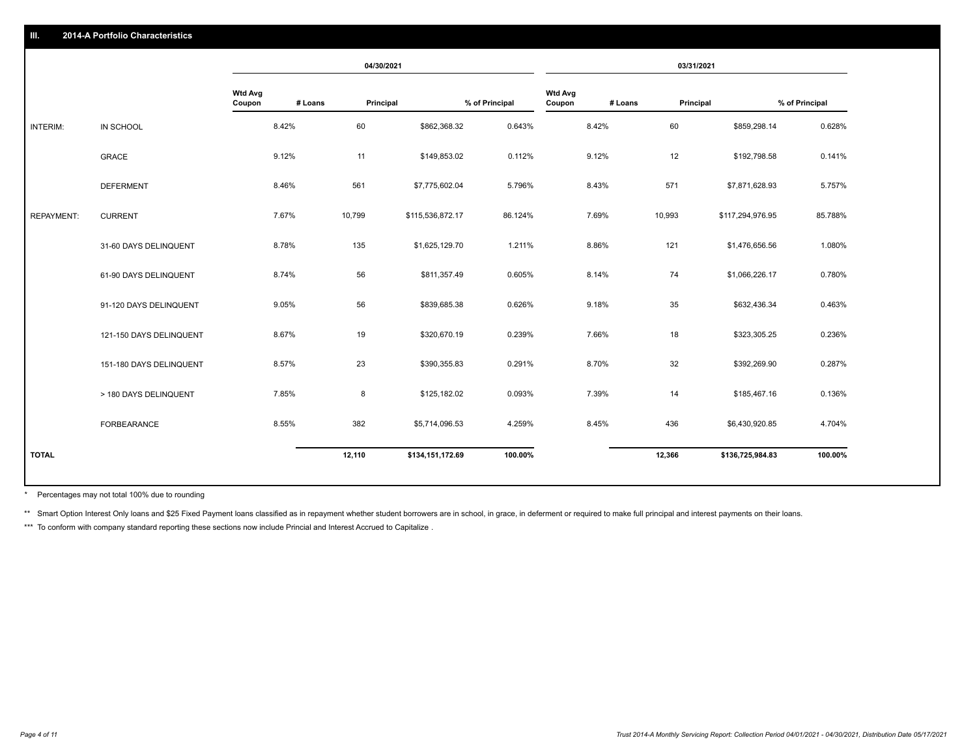|                   |                         |                          |         | 04/30/2021 |                  |                |                          |         | 03/31/2021 |                  |                |
|-------------------|-------------------------|--------------------------|---------|------------|------------------|----------------|--------------------------|---------|------------|------------------|----------------|
|                   |                         | <b>Wtd Avg</b><br>Coupon | # Loans | Principal  |                  | % of Principal | <b>Wtd Avg</b><br>Coupon | # Loans | Principal  |                  | % of Principal |
| <b>INTERIM:</b>   | IN SCHOOL               |                          | 8.42%   | 60         | \$862,368.32     | 0.643%         |                          | 8.42%   | 60         | \$859,298.14     | 0.628%         |
|                   | <b>GRACE</b>            |                          | 9.12%   | 11         | \$149,853.02     | 0.112%         |                          | 9.12%   | 12         | \$192,798.58     | 0.141%         |
|                   | <b>DEFERMENT</b>        |                          | 8.46%   | 561        | \$7,775,602.04   | 5.796%         |                          | 8.43%   | 571        | \$7,871,628.93   | 5.757%         |
| <b>REPAYMENT:</b> | <b>CURRENT</b>          |                          | 7.67%   | 10,799     | \$115,536,872.17 | 86.124%        |                          | 7.69%   | 10,993     | \$117,294,976.95 | 85.788%        |
|                   | 31-60 DAYS DELINQUENT   |                          | 8.78%   | 135        | \$1,625,129.70   | 1.211%         |                          | 8.86%   | 121        | \$1,476,656.56   | 1.080%         |
|                   | 61-90 DAYS DELINQUENT   |                          | 8.74%   | 56         | \$811,357.49     | 0.605%         |                          | 8.14%   | 74         | \$1,066,226.17   | 0.780%         |
|                   | 91-120 DAYS DELINQUENT  |                          | 9.05%   | 56         | \$839,685.38     | 0.626%         |                          | 9.18%   | 35         | \$632,436.34     | 0.463%         |
|                   | 121-150 DAYS DELINQUENT |                          | 8.67%   | 19         | \$320,670.19     | 0.239%         |                          | 7.66%   | 18         | \$323,305.25     | 0.236%         |
|                   | 151-180 DAYS DELINQUENT |                          | 8.57%   | 23         | \$390,355.83     | 0.291%         |                          | 8.70%   | 32         | \$392,269.90     | 0.287%         |
|                   | > 180 DAYS DELINQUENT   |                          | 7.85%   | 8          | \$125,182.02     | 0.093%         |                          | 7.39%   | 14         | \$185,467.16     | 0.136%         |
|                   | <b>FORBEARANCE</b>      |                          | 8.55%   | 382        | \$5,714,096.53   | 4.259%         |                          | 8.45%   | 436        | \$6,430,920.85   | 4.704%         |
| <b>TOTAL</b>      |                         |                          |         | 12,110     | \$134,151,172.69 | 100.00%        |                          |         | 12,366     | \$136,725,984.83 | 100.00%        |
|                   |                         |                          |         |            |                  |                |                          |         |            |                  |                |

Percentages may not total 100% due to rounding \*

\*\* Smart Option Interest Only loans and \$25 Fixed Payment loans classified as in repayment whether student borrowers are in school, in grace, in deferment or required to make full principal and interest payments on their l

\*\*\* To conform with company standard reporting these sections now include Princial and Interest Accrued to Capitalize .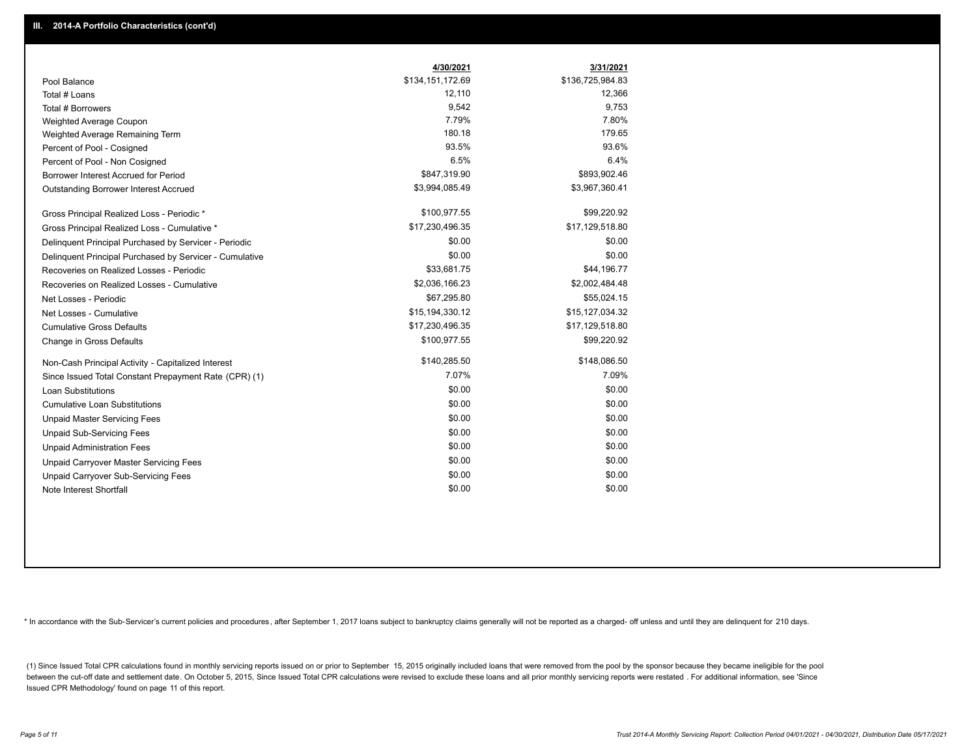|                                                         | 4/30/2021        | 3/31/2021        |
|---------------------------------------------------------|------------------|------------------|
| Pool Balance                                            | \$134,151,172.69 | \$136,725,984.83 |
| Total # Loans                                           | 12,110           | 12,366           |
| Total # Borrowers                                       | 9,542            | 9,753            |
| Weighted Average Coupon                                 | 7.79%            | 7.80%            |
| Weighted Average Remaining Term                         | 180.18           | 179.65           |
| Percent of Pool - Cosigned                              | 93.5%            | 93.6%            |
| Percent of Pool - Non Cosigned                          | 6.5%             | 6.4%             |
| Borrower Interest Accrued for Period                    | \$847,319.90     | \$893,902.46     |
| Outstanding Borrower Interest Accrued                   | \$3,994,085.49   | \$3,967,360.41   |
| Gross Principal Realized Loss - Periodic *              | \$100,977.55     | \$99,220.92      |
| Gross Principal Realized Loss - Cumulative *            | \$17,230,496.35  | \$17,129,518.80  |
| Delinquent Principal Purchased by Servicer - Periodic   | \$0.00           | \$0.00           |
| Delinquent Principal Purchased by Servicer - Cumulative | \$0.00           | \$0.00           |
| Recoveries on Realized Losses - Periodic                | \$33,681.75      | \$44,196.77      |
| Recoveries on Realized Losses - Cumulative              | \$2,036,166.23   | \$2,002,484.48   |
| Net Losses - Periodic                                   | \$67,295.80      | \$55,024.15      |
| Net Losses - Cumulative                                 | \$15,194,330.12  | \$15,127,034.32  |
| <b>Cumulative Gross Defaults</b>                        | \$17,230,496.35  | \$17,129,518.80  |
| Change in Gross Defaults                                | \$100,977.55     | \$99,220.92      |
| Non-Cash Principal Activity - Capitalized Interest      | \$140,285.50     | \$148,086.50     |
| Since Issued Total Constant Prepayment Rate (CPR) (1)   | 7.07%            | 7.09%            |
| <b>Loan Substitutions</b>                               | \$0.00           | \$0.00           |
| <b>Cumulative Loan Substitutions</b>                    | \$0.00           | \$0.00           |
| <b>Unpaid Master Servicing Fees</b>                     | \$0.00           | \$0.00           |
| <b>Unpaid Sub-Servicing Fees</b>                        | \$0.00           | \$0.00           |
| <b>Unpaid Administration Fees</b>                       | \$0.00           | \$0.00           |
| Unpaid Carryover Master Servicing Fees                  | \$0.00           | \$0.00           |
| Unpaid Carryover Sub-Servicing Fees                     | \$0.00           | \$0.00           |
| Note Interest Shortfall                                 | \$0.00           | \$0.00           |

\* In accordance with the Sub-Servicer's current policies and procedures, after September 1, 2017 loans subject to bankruptcy claims generally will not be reported as a charged- off unless and until they are delinquent for

(1) Since Issued Total CPR calculations found in monthly servicing reports issued on or prior to September 15, 2015 originally included loans that were removed from the pool by the sponsor because they became ineligible fo between the cut-off date and settlement date. On October 5, 2015, Since Issued Total CPR calculations were revised to exclude these loans and all prior monthly servicing reports were restated. For additional information, s Issued CPR Methodology' found on page 11 of this report.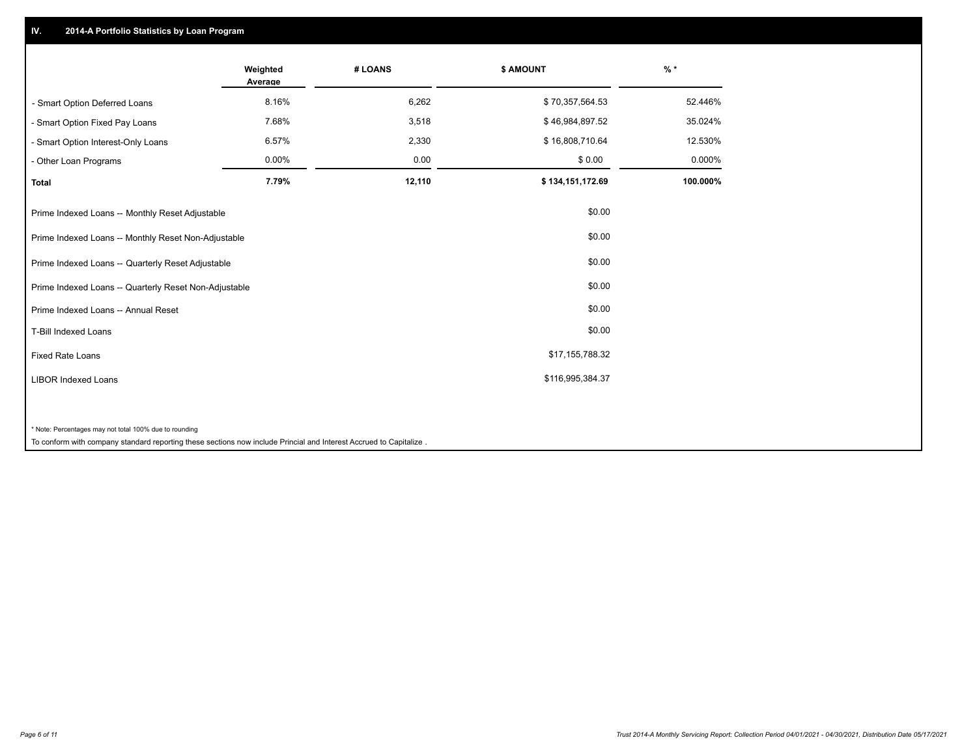## **IV. 2014-A Portfolio Statistics by Loan Program**

|                                                                                                                                                                              | Weighted<br>Average | # LOANS | \$ AMOUNT        | $%$ *    |
|------------------------------------------------------------------------------------------------------------------------------------------------------------------------------|---------------------|---------|------------------|----------|
| - Smart Option Deferred Loans                                                                                                                                                | 8.16%               | 6,262   | \$70,357,564.53  | 52.446%  |
| - Smart Option Fixed Pay Loans                                                                                                                                               | 7.68%               | 3,518   | \$46,984,897.52  | 35.024%  |
| - Smart Option Interest-Only Loans                                                                                                                                           | 6.57%               | 2,330   | \$16,808,710.64  | 12.530%  |
| - Other Loan Programs                                                                                                                                                        | 0.00%               | 0.00    | \$0.00           | 0.000%   |
| <b>Total</b>                                                                                                                                                                 | 7.79%               | 12,110  | \$134,151,172.69 | 100.000% |
| Prime Indexed Loans -- Monthly Reset Adjustable                                                                                                                              |                     |         | \$0.00           |          |
| Prime Indexed Loans -- Monthly Reset Non-Adjustable                                                                                                                          |                     |         | \$0.00           |          |
| Prime Indexed Loans -- Quarterly Reset Adjustable                                                                                                                            |                     |         | \$0.00           |          |
| Prime Indexed Loans -- Quarterly Reset Non-Adjustable                                                                                                                        |                     |         | \$0.00           |          |
| Prime Indexed Loans -- Annual Reset                                                                                                                                          |                     |         | \$0.00           |          |
| <b>T-Bill Indexed Loans</b>                                                                                                                                                  |                     |         | \$0.00           |          |
| <b>Fixed Rate Loans</b>                                                                                                                                                      |                     |         | \$17,155,788.32  |          |
| <b>LIBOR Indexed Loans</b>                                                                                                                                                   |                     |         | \$116,995,384.37 |          |
| * Note: Percentages may not total 100% due to rounding<br>To conform with company standard reporting these sections now include Princial and Interest Accrued to Capitalize. |                     |         |                  |          |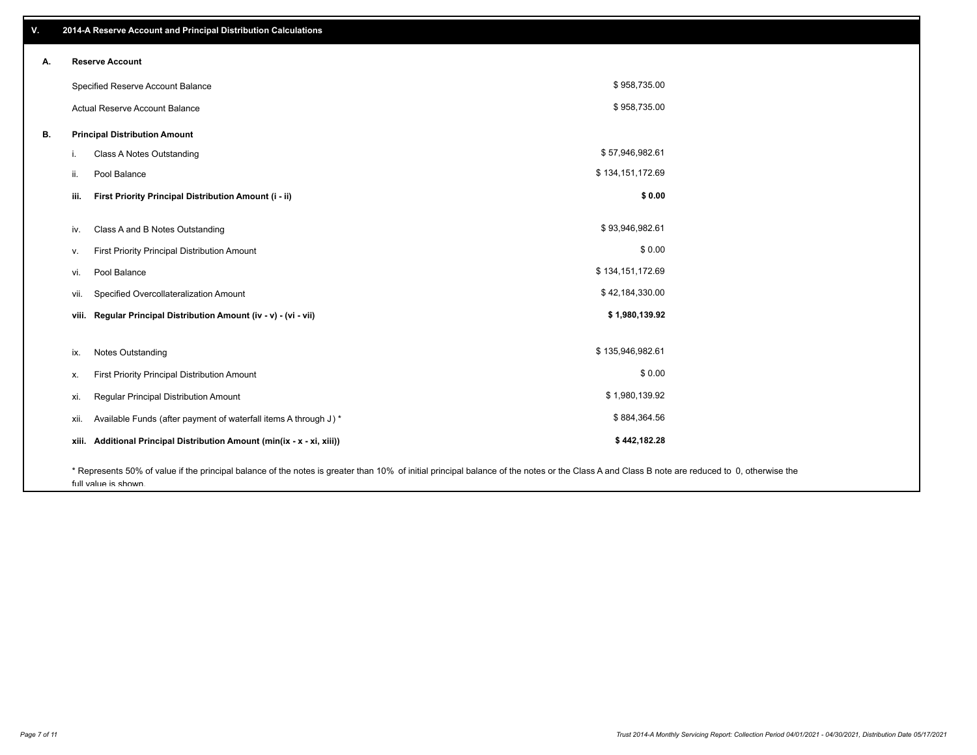| ۷. |       | 2014-A Reserve Account and Principal Distribution Calculations                                                                                                                                                        |                  |  |
|----|-------|-----------------------------------------------------------------------------------------------------------------------------------------------------------------------------------------------------------------------|------------------|--|
| А. |       | <b>Reserve Account</b>                                                                                                                                                                                                |                  |  |
|    |       | Specified Reserve Account Balance                                                                                                                                                                                     | \$958,735.00     |  |
|    |       | Actual Reserve Account Balance                                                                                                                                                                                        | \$958,735.00     |  |
| В. |       | <b>Principal Distribution Amount</b>                                                                                                                                                                                  |                  |  |
|    | Ι.    | Class A Notes Outstanding                                                                                                                                                                                             | \$57,946,982.61  |  |
|    | ii.   | Pool Balance                                                                                                                                                                                                          | \$134,151,172.69 |  |
|    |       |                                                                                                                                                                                                                       |                  |  |
|    | iii.  | First Priority Principal Distribution Amount (i - ii)                                                                                                                                                                 | \$0.00           |  |
|    | iv.   | Class A and B Notes Outstanding                                                                                                                                                                                       | \$93,946,982.61  |  |
|    | v.    | First Priority Principal Distribution Amount                                                                                                                                                                          | \$0.00           |  |
|    | vi.   | Pool Balance                                                                                                                                                                                                          | \$134,151,172.69 |  |
|    | vii.  | Specified Overcollateralization Amount                                                                                                                                                                                | \$42,184,330.00  |  |
|    | viii. | Regular Principal Distribution Amount (iv - v) - (vi - vii)                                                                                                                                                           | \$1,980,139.92   |  |
|    |       |                                                                                                                                                                                                                       |                  |  |
|    | ix.   | <b>Notes Outstanding</b>                                                                                                                                                                                              | \$135,946,982.61 |  |
|    | х.    | First Priority Principal Distribution Amount                                                                                                                                                                          | \$0.00           |  |
|    | xi.   | Regular Principal Distribution Amount                                                                                                                                                                                 | \$1,980,139.92   |  |
|    | xii.  | Available Funds (after payment of waterfall items A through J) *                                                                                                                                                      | \$884,364.56     |  |
|    | xiii. | Additional Principal Distribution Amount (min(ix - x - xi, xiii))                                                                                                                                                     | \$442,182.28     |  |
|    |       | * Represents 50% of value if the principal balance of the notes is greater than 10% of initial principal balance of the notes or the Class A and Class B note are reduced to 0, otherwise the<br>full value is shown. |                  |  |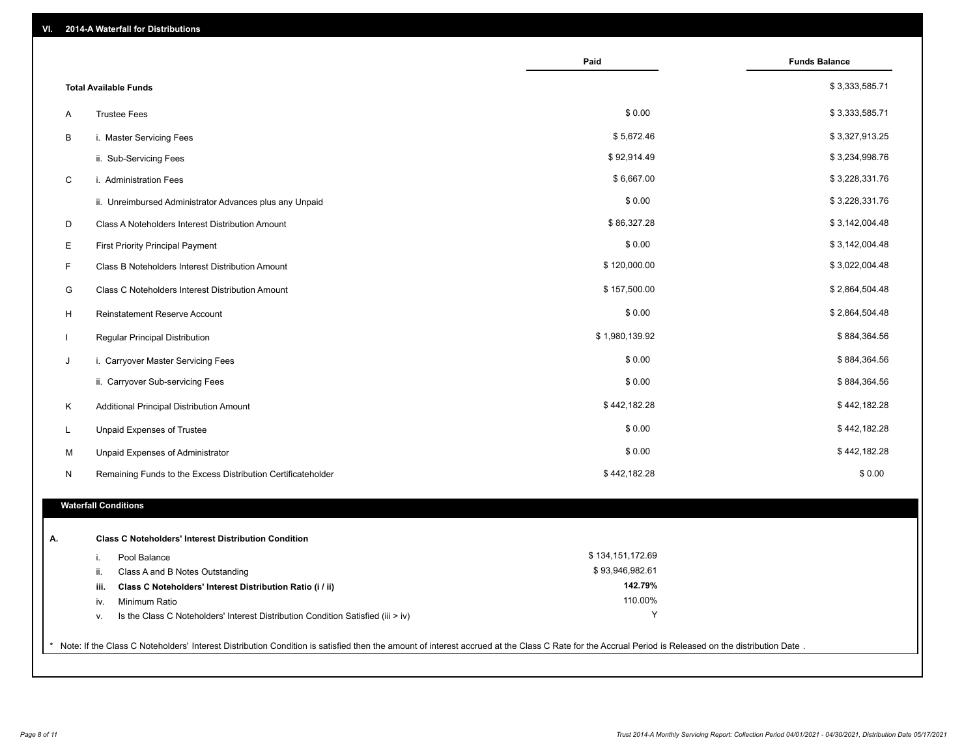| VI. |   | 2014-A Waterfall for Distributions                                                                                                                                                                    |                    |                      |
|-----|---|-------------------------------------------------------------------------------------------------------------------------------------------------------------------------------------------------------|--------------------|----------------------|
|     |   |                                                                                                                                                                                                       | Paid               | <b>Funds Balance</b> |
|     |   | <b>Total Available Funds</b>                                                                                                                                                                          |                    | \$3,333,585.71       |
|     | A | <b>Trustee Fees</b>                                                                                                                                                                                   | \$0.00             | \$3,333,585.71       |
|     | В | i. Master Servicing Fees                                                                                                                                                                              | \$5,672.46         | \$3,327,913.25       |
|     |   | ii. Sub-Servicing Fees                                                                                                                                                                                | \$92,914.49        | \$3,234,998.76       |
|     | C | i. Administration Fees                                                                                                                                                                                | \$6,667.00         | \$3,228,331.76       |
|     |   | ii. Unreimbursed Administrator Advances plus any Unpaid                                                                                                                                               | \$0.00             | \$3,228,331.76       |
|     | D | Class A Noteholders Interest Distribution Amount                                                                                                                                                      | \$86,327.28        | \$3,142,004.48       |
|     | Е | <b>First Priority Principal Payment</b>                                                                                                                                                               | \$0.00             | \$3,142,004.48       |
|     | F | Class B Noteholders Interest Distribution Amount                                                                                                                                                      | \$120,000.00       | \$3,022,004.48       |
|     | G | Class C Noteholders Interest Distribution Amount                                                                                                                                                      | \$157,500.00       | \$2,864,504.48       |
|     | H | Reinstatement Reserve Account                                                                                                                                                                         | \$0.00             | \$2,864,504.48       |
|     |   | Regular Principal Distribution                                                                                                                                                                        | \$1,980,139.92     | \$884,364.56         |
| J   |   | i. Carryover Master Servicing Fees                                                                                                                                                                    | \$0.00             | \$884,364.56         |
|     |   | ii. Carryover Sub-servicing Fees                                                                                                                                                                      | \$0.00             | \$884,364.56         |
|     | Κ | Additional Principal Distribution Amount                                                                                                                                                              | \$442,182.28       | \$442,182.28         |
| L   |   | Unpaid Expenses of Trustee                                                                                                                                                                            | \$0.00             | \$442,182.28         |
|     | М | Unpaid Expenses of Administrator                                                                                                                                                                      | \$0.00             | \$442,182.28         |
|     | N | Remaining Funds to the Excess Distribution Certificateholder                                                                                                                                          | \$442,182.28       | \$0.00               |
|     |   | <b>Waterfall Conditions</b>                                                                                                                                                                           |                    |                      |
|     |   |                                                                                                                                                                                                       |                    |                      |
| Α.  |   | <b>Class C Noteholders' Interest Distribution Condition</b>                                                                                                                                           |                    |                      |
|     |   | Pool Balance<br>j.                                                                                                                                                                                    | \$134,151,172.69   |                      |
|     |   | Class A and B Notes Outstanding<br>ii.                                                                                                                                                                | \$93,946,982.61    |                      |
|     |   | Class C Noteholders' Interest Distribution Ratio (i / ii)<br>iii.                                                                                                                                     | 142.79%<br>110.00% |                      |
|     |   | Minimum Ratio<br>iv.<br>Is the Class C Noteholders' Interest Distribution Condition Satisfied (iii > iv)                                                                                              | Υ                  |                      |
|     |   | V.                                                                                                                                                                                                    |                    |                      |
|     |   | * Note: If the Class C Noteholders' Interest Distribution Condition is satisfied then the amount of interest accrued at the Class C Rate for the Accrual Period is Released on the distribution Date. |                    |                      |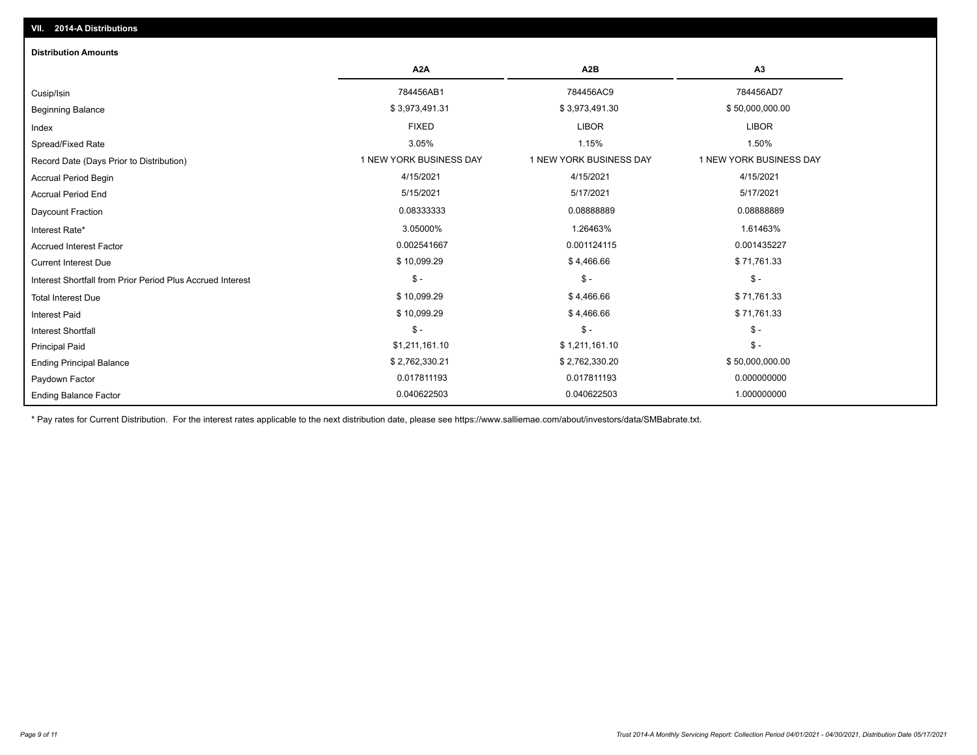| <b>Distribution Amounts</b>                                |                         |                         |                         |
|------------------------------------------------------------|-------------------------|-------------------------|-------------------------|
|                                                            | A <sub>2</sub> A        | A <sub>2</sub> B        | A3                      |
| Cusip/Isin                                                 | 784456AB1               | 784456AC9               | 784456AD7               |
| <b>Beginning Balance</b>                                   | \$3,973,491.31          | \$3,973,491.30          | \$50,000,000.00         |
| Index                                                      | <b>FIXED</b>            | <b>LIBOR</b>            | <b>LIBOR</b>            |
| Spread/Fixed Rate                                          | 3.05%                   | 1.15%                   | 1.50%                   |
| Record Date (Days Prior to Distribution)                   | 1 NEW YORK BUSINESS DAY | 1 NEW YORK BUSINESS DAY | 1 NEW YORK BUSINESS DAY |
| <b>Accrual Period Begin</b>                                | 4/15/2021               | 4/15/2021               | 4/15/2021               |
| <b>Accrual Period End</b>                                  | 5/15/2021               | 5/17/2021               | 5/17/2021               |
| Daycount Fraction                                          | 0.08333333              | 0.08888889              | 0.08888889              |
| Interest Rate*                                             | 3.05000%                | 1.26463%                | 1.61463%                |
| <b>Accrued Interest Factor</b>                             | 0.002541667             | 0.001124115             | 0.001435227             |
| <b>Current Interest Due</b>                                | \$10,099.29             | \$4,466.66              | \$71,761.33             |
| Interest Shortfall from Prior Period Plus Accrued Interest | $\mathsf{\$}$ -         | $\mathsf{\$}$ -         | $\mathcal{S}$ -         |
| <b>Total Interest Due</b>                                  | \$10,099.29             | \$4,466.66              | \$71,761.33             |
| <b>Interest Paid</b>                                       | \$10,099.29             | \$4,466.66              | \$71,761.33             |
| <b>Interest Shortfall</b>                                  | $\mathsf{\$}$ -         | $\mathsf{\$}$ -         | $\mathsf{\$}$ -         |
| <b>Principal Paid</b>                                      | \$1,211,161.10          | \$1,211,161.10          | $\mathsf{\$}$ -         |
| <b>Ending Principal Balance</b>                            | \$2,762,330.21          | \$2,762,330.20          | \$50,000,000.00         |
| Paydown Factor                                             | 0.017811193             | 0.017811193             | 0.000000000             |
| <b>Ending Balance Factor</b>                               | 0.040622503             | 0.040622503             | 1.000000000             |

\* Pay rates for Current Distribution. For the interest rates applicable to the next distribution date, please see https://www.salliemae.com/about/investors/data/SMBabrate.txt.

**VII. 2014-A Distributions**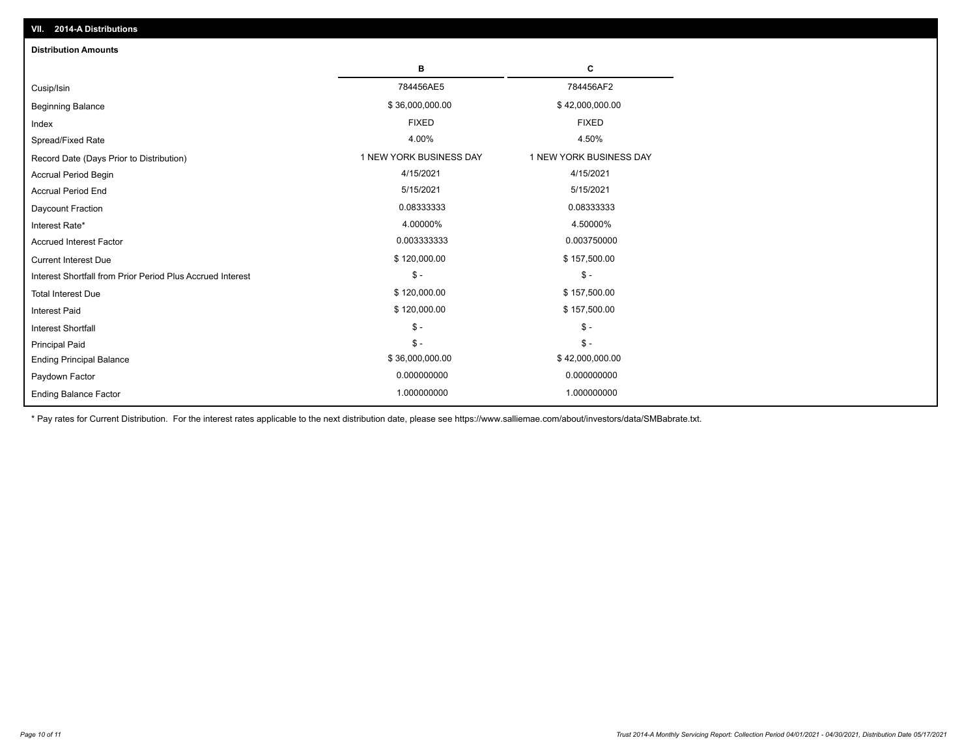| <b>Distribution Amounts</b>                                |                         |                         |
|------------------------------------------------------------|-------------------------|-------------------------|
|                                                            | в                       | C                       |
| Cusip/Isin                                                 | 784456AE5               | 784456AF2               |
| <b>Beginning Balance</b>                                   | \$36,000,000.00         | \$42,000,000.00         |
| Index                                                      | <b>FIXED</b>            | <b>FIXED</b>            |
| Spread/Fixed Rate                                          | 4.00%                   | 4.50%                   |
| Record Date (Days Prior to Distribution)                   | 1 NEW YORK BUSINESS DAY | 1 NEW YORK BUSINESS DAY |
| <b>Accrual Period Begin</b>                                | 4/15/2021               | 4/15/2021               |
| <b>Accrual Period End</b>                                  | 5/15/2021               | 5/15/2021               |
| Daycount Fraction                                          | 0.08333333              | 0.08333333              |
| Interest Rate*                                             | 4.00000%                | 4.50000%                |
| <b>Accrued Interest Factor</b>                             | 0.003333333             | 0.003750000             |
| <b>Current Interest Due</b>                                | \$120,000.00            | \$157,500.00            |
| Interest Shortfall from Prior Period Plus Accrued Interest | $\mathsf{\$}$ -         | $\mathsf{\$}$ -         |
| <b>Total Interest Due</b>                                  | \$120,000.00            | \$157,500.00            |
| <b>Interest Paid</b>                                       | \$120,000.00            | \$157,500.00            |
| Interest Shortfall                                         | $\frac{1}{2}$           | $$ -$                   |
| <b>Principal Paid</b>                                      | $\mathsf{\$}$ -         | $\frac{1}{2}$           |
| <b>Ending Principal Balance</b>                            | \$36,000,000.00         | \$42,000,000.00         |
| Paydown Factor                                             | 0.000000000             | 0.000000000             |
| <b>Ending Balance Factor</b>                               | 1.000000000             | 1.000000000             |

\* Pay rates for Current Distribution. For the interest rates applicable to the next distribution date, please see https://www.salliemae.com/about/investors/data/SMBabrate.txt.

**VII. 2014-A Distributions**